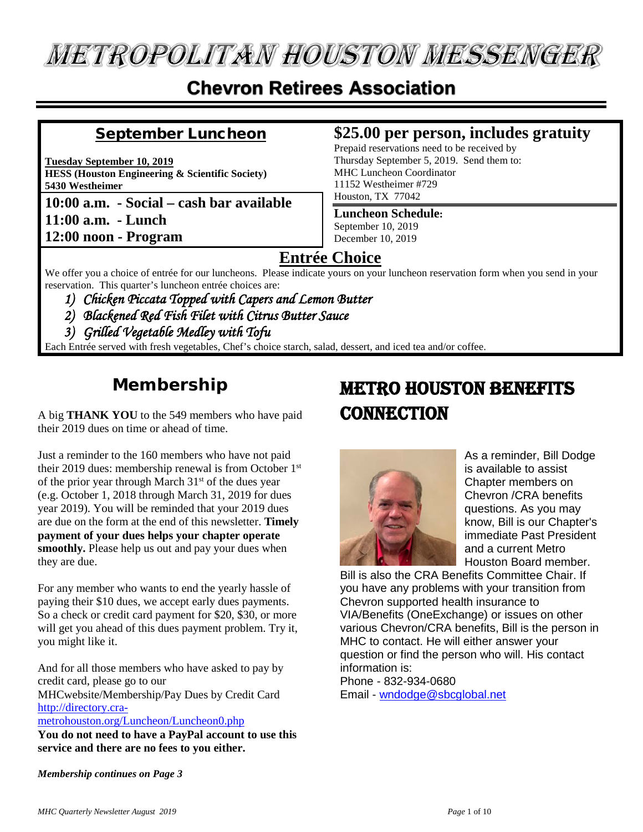# **METROPOLITAN HOUSTON MESSENGER**

### **Chevron Retirees Association**

#### September Luncheon

**Tuesday September 10, 2019 HESS (Houston Engineering & Scientific Society) 5430 Westheimer**

**10:00 a.m. - Social – cash bar available 11:00 a.m. - Lunch 12:00 noon - Program**

#### **\$25.00 per person, includes gratuity**

Prepaid reservations need to be received by Thursday September 5, 2019. Send them to: MHC Luncheon Coordinator 11152 Westheimer #729 Houston, TX 77042

#### **Luncheon Schedule:**

September 10, 2019 December 10, 2019

#### **Entrée Choice**

We offer you a choice of entrée for our luncheons. Please indicate yours on your luncheon reservation form when you send in your reservation. This quarter's luncheon entrée choices are:

- *1) Chicken Piccata Topped with Capers and Lemon Butter*
- *2) Blackened Red Fish Filet with Citrus Butter Sauce*
- *3) Grilled Vegetable Medley with Tofu*

Each Entrée served with fresh vegetables, Chef's choice starch, salad, dessert, and iced tea and/or coffee.

### **Membership**

A big **THANK YOU** to the 549 members who have paid their 2019 dues on time or ahead of time.

Just a reminder to the 160 members who have not paid their 2019 dues: membership renewal is from October 1st of the prior year through March  $31<sup>st</sup>$  of the dues year (e.g. October 1, 2018 through March 31, 2019 for dues year 2019). You will be reminded that your 2019 dues are due on the form at the end of this newsletter. **Timely payment of your dues helps your chapter operate smoothly.** Please help us out and pay your dues when they are due.

For any member who wants to end the yearly hassle of paying their \$10 dues, we accept early dues payments. So a check or credit card payment for \$20, \$30, or more will get you ahead of this dues payment problem. Try it, you might like it.

And for all those members who have asked to pay by credit card, please go to our MHCwebsite/Membership/Pay Dues by Credit Card

#### [http://directory.cra-](http://directory.cra-metrohouston.org/Luncheon/Luncheon0.php)

[metrohouston.org/Luncheon/Luncheon0.php](http://directory.cra-metrohouston.org/Luncheon/Luncheon0.php)

**You do not need to have a PayPal account to use this service and there are no fees to you either.**

### Metro Houston Benefits **CONNECTION**



As a reminder, Bill Dodge is available to assist Chapter members on Chevron /CRA benefits questions. As you may know, Bill is our Chapter's immediate Past President and a current Metro Houston Board member.

Bill is also the CRA Benefits Committee Chair. If you have any problems with your transition from Chevron supported health insurance to VIA/Benefits (OneExchange) or issues on other various Chevron/CRA benefits, Bill is the person in MHC to contact. He will either answer your question or find the person who will. His contact information is:

Phone - 832-934-0680 Email - [wndodge@sbcglobal.net](mailto:wndodge@sbcglobal.net)

*Membership continues on Page 3*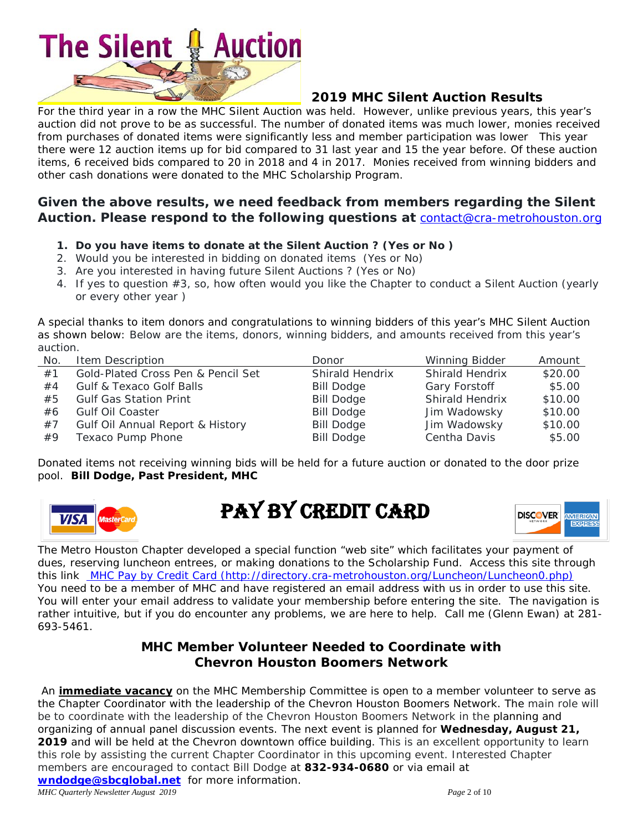# **Auction The Silent**

#### **2019 MHC Silent Auction Results**

For the third year in a row the MHC Silent Auction was held. However, unlike previous years, this year's auction did not prove to be as successful. The number of donated items was much lower, monies received from purchases of donated items were significantly less and member participation was lower This year there were 12 auction items up for bid compared to 31 last year and 15 the year before. Of these auction items, 6 received bids compared to 20 in 2018 and 4 in 2017. Monies received from winning bidders and other cash donations were donated to the MHC Scholarship Program.

#### **Given the above results, we need feedback from members regarding the Silent Auction. Please respond to the following questions at** [contact@cra-metrohouston.org](mailto:contact@cra-metrohouston.org)

- **1. Do you have items to donate at the Silent Auction ? (Yes or No )**
- 2. Would you be interested in bidding on donated items (Yes or No)
- 3. Are you interested in having future Silent Auctions ? (Yes or No)
- 4. If yes to question #3, so, how often would you like the Chapter to conduct a Silent Auction (yearly or every other year )

A special thanks to item donors and congratulations to winning bidders of this year's MHC Silent Auction as shown below: Below are the items, donors, winning bidders, and amounts received from this year's auction.

| No. | Item Description                            | Donor             | Winning Bidder         | Amount  |
|-----|---------------------------------------------|-------------------|------------------------|---------|
| #1  | Gold-Plated Cross Pen & Pencil Set          | Shirald Hendrix   | <b>Shirald Hendrix</b> | \$20.00 |
| #4  | <b>Gulf &amp; Texaco Golf Balls</b>         | <b>Bill Dodge</b> | Gary Forstoff          | \$5.00  |
| #5  | <b>Gulf Gas Station Print</b>               | <b>Bill Dodge</b> | <b>Shirald Hendrix</b> | \$10.00 |
| #6  | <b>Gulf Oil Coaster</b>                     | <b>Bill Dodge</b> | Jim Wadowsky           | \$10.00 |
| #7  | <b>Gulf Oil Annual Report &amp; History</b> | <b>Bill Dodge</b> | Jim Wadowsky           | \$10.00 |
| #9  | Texaco Pump Phone                           | <b>Bill Dodge</b> | Centha Davis           | \$5.00  |

Donated items not receiving winning bids will be held for a future auction or donated to the door prize pool. **Bill Dodge, Past President, MHC**



PAY BY CREDIT CARD



The Metro Houston Chapter developed a special function "web site" which facilitates your payment of dues, reserving luncheon entrees, or making donations to the Scholarship Fund. Access this site through this link [MHC Pay by Credit Card](http://directory.cra-metrohouston.org/Luncheon/Luncheon0.php) (http://directory.cra-metrohouston.org/Luncheon/Luncheon0.php) You need to be a member of MHC and have registered an email address with us in order to use this site. You will enter your email address to validate your membership before entering the site. The navigation is rather intuitive, but if you do encounter any problems, we are here to help. Call me (Glenn Ewan) at 281- 693-5461.

#### **MHC Member Volunteer Needed to Coordinate with Chevron Houston Boomers Network**

An **immediate vacancy** on the MHC Membership Committee is open to a member volunteer to serve as the Chapter Coordinator with the leadership of the Chevron Houston Boomers Network. The main role will be to coordinate with the leadership of the Chevron Houston Boomers Network in the planning and organizing of annual panel discussion events. The next event is planned for **Wednesday, August 21, 2019** and will be held at the Chevron downtown office building. This is an excellent opportunity to *learn this role by assisting the current Chapter Coordinato*r in this upcoming event. Interested Chapter members are encouraged to contact Bill Dodge at **832-934-0680** or via email at **[wndodge@sbcglobal.net](mailto:wndodge@sbcglobal.net)** for more information.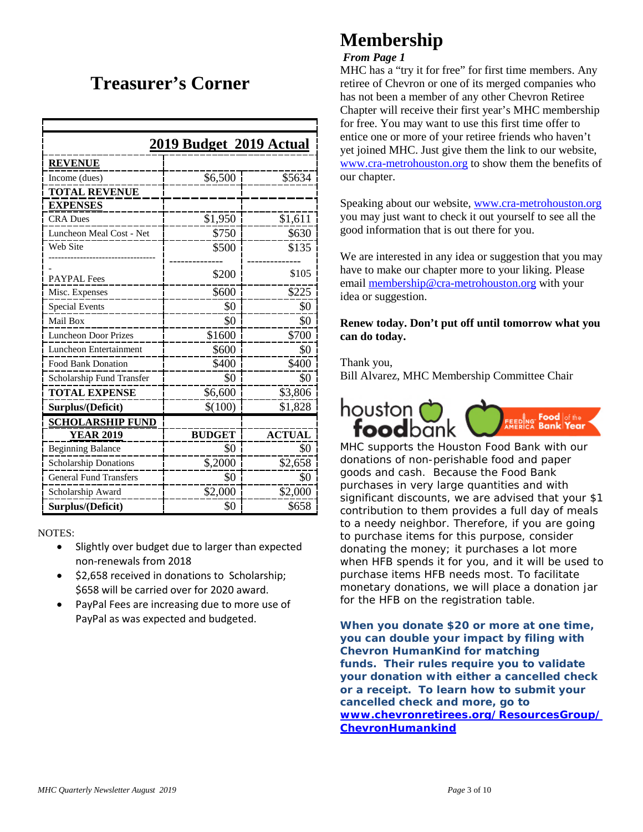### **Treasurer's Corner**

|                               | 2019 Budget 2019 Actual |               |
|-------------------------------|-------------------------|---------------|
| <b>REVENUE</b>                |                         |               |
| Income (dues)                 | \$6,500                 | \$5634        |
| <b>TOTAL REVENUE</b>          |                         |               |
| <b>EXPENSES</b>               |                         |               |
| <b>CRA Dues</b>               | \$1,950                 | \$1,611       |
| Luncheon Meal Cost - Net      | \$750                   | \$630         |
| Web Site                      | \$500                   | \$135         |
|                               |                         |               |
| <b>PAYPAL</b> Fees            | \$200                   | \$105         |
| Misc. Expenses                | \$600                   | \$225         |
| <b>Special Events</b>         | \$0                     | \$0           |
| Mail Box                      | \$0                     | \$0           |
| <b>Luncheon Door Prizes</b>   | \$1600                  | \$700         |
| <b>Luncheon Entertainment</b> | \$600                   | \$0           |
| <b>Food Bank Donation</b>     | \$400                   | \$400         |
| Scholarship Fund Transfer     | \$0                     | \$0           |
| <b>TOTAL EXPENSE</b>          | \$6,600                 | \$3,806       |
| Surplus/(Deficit)             | \$(100)                 | \$1,828       |
| <b>SCHOLARSHIP FUND</b>       |                         |               |
| <b>YEAR 2019</b>              | <b>BUDGET</b>           | <b>ACTUAL</b> |
| <b>Beginning Balance</b>      | \$0                     | \$0           |
| Scholarship Donations         | \$,2000                 | \$2,658       |
| <b>General Fund Transfers</b> | \$0                     | \$0           |
| Scholarship Award             | \$2,000                 | \$2,000       |
| Surplus/(Deficit)             | \$0                     | \$658         |

NOTES:

- Slightly over budget due to larger than expected non-renewals from 2018
- \$2,658 received in donations to Scholarship; \$658 will be carried over for 2020 award.
- PayPal Fees are increasing due to more use of PayPal as was expected and budgeted.

### **Membership**

#### *From Page 1*

MHC has a "try it for free" for first time members. Any retiree of Chevron or one of its merged companies who has not been a member of any other Chevron Retiree Chapter will receive their first year's MHC membership for free. You may want to use this first time offer to entice one or more of your retiree friends who haven't yet joined MHC. Just give them the link to our website, [www.cra-metrohouston.org](http://www.cra-metrohouston.org/) to show them the benefits of our chapter.

Speaking about our website, [www.cra-metrohouston.org](http://www.cra-metrohouston.org/) you may just want to check it out yourself to see all the good information that is out there for you.

We are interested in any idea or suggestion that you may have to make our chapter more to your liking. Please email [membership@cra-metrohouston.org](mailto:membership@cra-metrohouston.org) with your idea or suggestion.

#### **Renew today. Don't put off until tomorrow what you can do today.**

Thank you,

Bill Alvarez, MHC Membership Committee Chair



MHC supports the Houston Food Bank with our donations of non-perishable food and paper goods and cash. Because the Food Bank purchases in very large quantities and with significant discounts, we are advised that your \$1 contribution to them provides a full day of meals to a needy neighbor. Therefore, if you are going to purchase items for this purpose, consider donating the money; it purchases a lot more when HFB spends it for you, and it will be used to purchase items HFB needs most. To facilitate monetary donations, we will place a donation jar for the HFB on the registration table.

**When you donate \$20 or more at one time, you can double your impact by filing with Chevron HumanKind for matching funds. Their rules require you to validate your donation with either a cancelled check or a receipt. To learn how to submit your cancelled check and more, go to [www.chevronretirees.org/ResourcesGroup/](http://www.chevronretirees.org/ResourcesGroup/ChevronHumankind) [ChevronHumankind](http://www.chevronretirees.org/ResourcesGroup/ChevronHumankind)**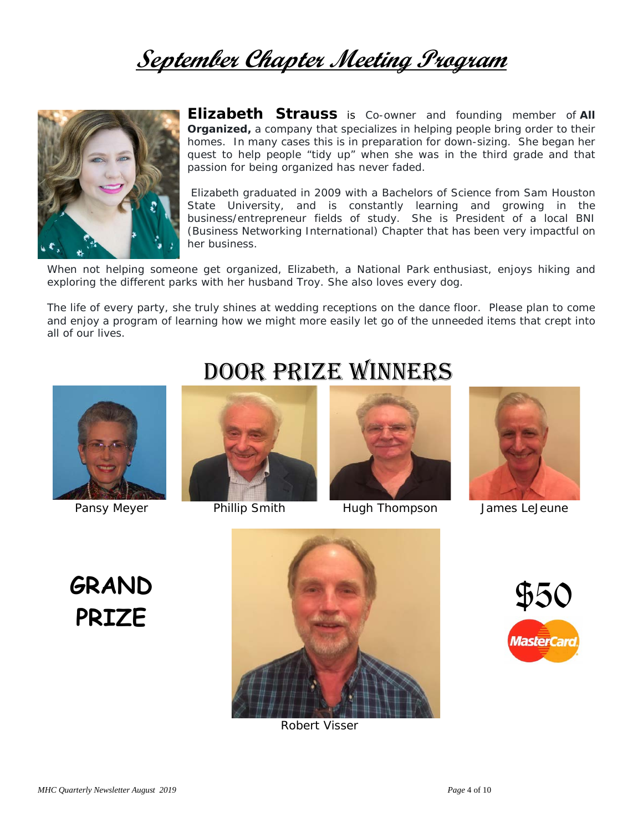# **September Chapter Meeting Program**



**Elizabeth Strauss** is Co-owner and founding member of *All Organized,* a company that specializes in helping people bring order to their homes. In many cases this is in preparation for down-sizing. She began her quest to help people "tidy up" when she was in the third grade and that passion for being organized has never faded.

Elizabeth graduated in 2009 with a Bachelors of Science from Sam Houston State University, and is constantly learning and growing in the business/entrepreneur fields of study. She is President of a local BNI (Business Networking International) Chapter that has been very impactful on her business.

When not helping someone get organized, Elizabeth, a National Park enthusiast, enjoys hiking and exploring the different parks with her husband Troy. She also loves every dog.

The life of every party, she truly shines at wedding receptions on the dance floor. Please plan to come and enjoy a program of learning how we might more easily let go of the unneeded items that crept into all of our lives.







Pansy Meyer **Phillip Smith** Hugh Thompson James LeJeune



**GRAND**



Robert Visser

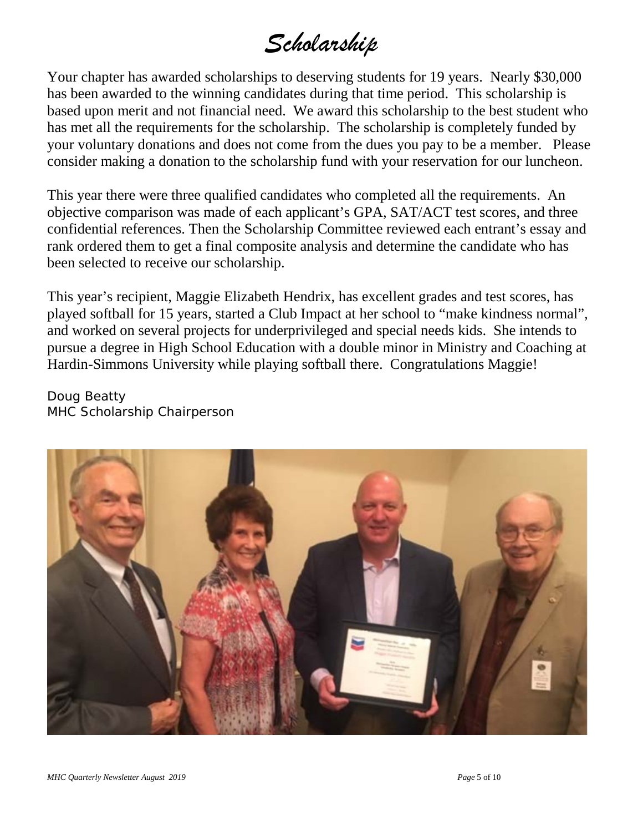# *Scholarship*

Your chapter has awarded scholarships to deserving students for 19 years. Nearly \$30,000 has been awarded to the winning candidates during that time period. This scholarship is based upon merit and not financial need. We award this scholarship to the best student who has met all the requirements for the scholarship. The scholarship is completely funded by your voluntary donations and does not come from the dues you pay to be a member. Please consider making a donation to the scholarship fund with your reservation for our luncheon.

This year there were three qualified candidates who completed all the requirements. An objective comparison was made of each applicant's GPA, SAT/ACT test scores, and three confidential references. Then the Scholarship Committee reviewed each entrant's essay and rank ordered them to get a final composite analysis and determine the candidate who has been selected to receive our scholarship.

This year's recipient, Maggie Elizabeth Hendrix, has excellent grades and test scores, has played softball for 15 years, started a Club Impact at her school to "make kindness normal", and worked on several projects for underprivileged and special needs kids. She intends to pursue a degree in High School Education with a double minor in Ministry and Coaching at Hardin-Simmons University while playing softball there. Congratulations Maggie!

Doug Beatty MHC Scholarship Chairperson

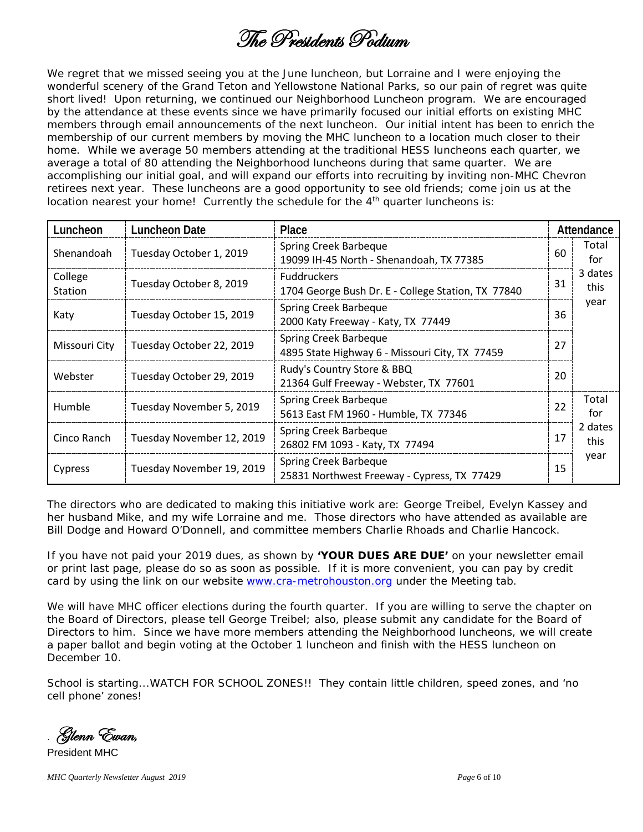### The Presidents Podium

We regret that we missed seeing you at the June luncheon, but Lorraine and I were enjoying the wonderful scenery of the Grand Teton and Yellowstone National Parks, so our pain of regret was quite short lived! Upon returning, we continued our Neighborhood Luncheon program. We are encouraged by the attendance at these events since we have primarily focused our initial efforts on existing MHC members through email announcements of the next luncheon. Our initial intent has been to enrich the membership of our current members by moving the MHC luncheon to a location much closer to their home. While we average 50 members attending at the traditional HESS luncheons each quarter, we average a total of 80 attending the Neighborhood luncheons during that same quarter. We are accomplishing our initial goal, and will expand our efforts into recruiting by inviting non-MHC Chevron retirees next year. These luncheons are a good opportunity to see old friends; come join us at the location nearest your home! Currently the schedule for the  $4<sup>th</sup>$  quarter luncheons is:

| Luncheon           | <b>Luncheon Date</b>      | Place                                                                    |    | Attendance      |
|--------------------|---------------------------|--------------------------------------------------------------------------|----|-----------------|
| Shenandoah         | Tuesday October 1, 2019   | Spring Creek Barbeque<br>19099 IH-45 North - Shenandoah, TX 77385        | 60 | Total<br>for    |
| College<br>Station | Tuesday October 8, 2019   | <b>Fuddruckers</b><br>1704 George Bush Dr. E - College Station, TX 77840 | 31 | 3 dates<br>this |
| Katy               | Tuesday October 15, 2019  | Spring Creek Barbeque<br>2000 Katy Freeway - Katy, TX 77449              | 36 | year            |
| Missouri City      | Tuesday October 22, 2019  | Spring Creek Barbeque<br>4895 State Highway 6 - Missouri City, TX 77459  | 27 |                 |
| Webster            | Tuesday October 29, 2019  | Rudy's Country Store & BBQ<br>21364 Gulf Freeway - Webster, TX 77601     | 20 |                 |
| Humble             | Tuesday November 5, 2019  | Spring Creek Barbeque<br>5613 East FM 1960 - Humble, TX 77346            | 22 | Total<br>for    |
| Cinco Ranch        | Tuesday November 12, 2019 | Spring Creek Barbeque<br>26802 FM 1093 - Katy, TX 77494                  | 17 | 2 dates<br>this |
| Cypress            | Tuesday November 19, 2019 | Spring Creek Barbeque<br>25831 Northwest Freeway - Cypress, TX 77429     | 15 | year            |

The directors who are dedicated to making this initiative work are: George Treibel, Evelyn Kassey and her husband Mike, and my wife Lorraine and me. Those directors who have attended as available are Bill Dodge and Howard O'Donnell, and committee members Charlie Rhoads and Charlie Hancock.

If you have not paid your 2019 dues, as shown by **'YOUR DUES ARE DUE'** on your newsletter email or print last page, please do so as soon as possible. If it is more convenient, you can pay by credit card by using the link on our website [www.cra-metrohouston.org](http://www.cra-metrohouston.org/) under the *Meeting* tab.

We will have MHC officer elections during the fourth quarter. If you are willing to serve the chapter on the Board of Directors, please tell George Treibel; also, please submit any candidate for the Board of Directors to him. Since we have more members attending the Neighborhood luncheons, we will create a paper ballot and begin voting at the October 1 luncheon and finish with the HESS luncheon on December 10.

School is starting...WATCH FOR SCHOOL ZONES!! They contain little children, speed zones, and 'no cell phone' zones!

. Glenn Ewan,

President MHC

*MHC Quarterly Newsletter August 2019 Page* 6 of 10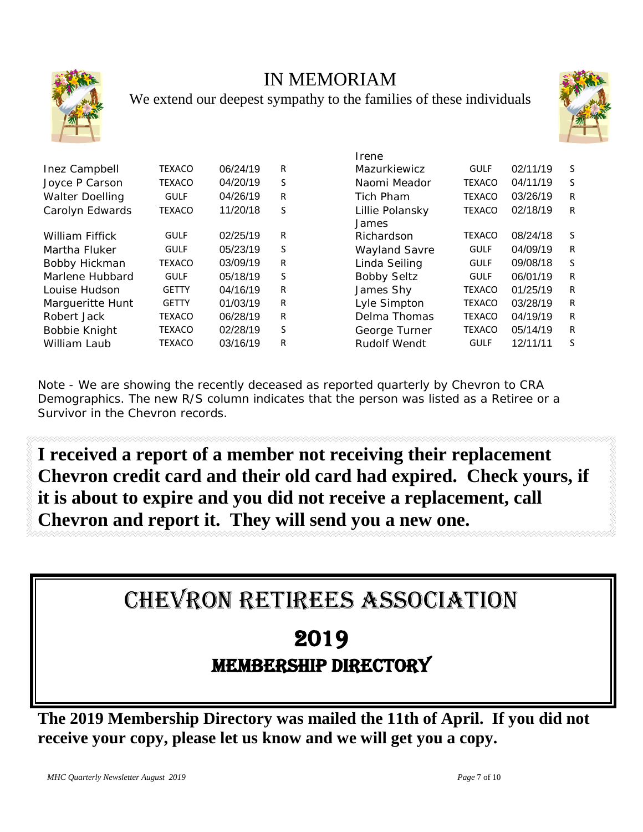

### IN MEMORIAM

We extend our deepest sympathy to the families of these individuals



|                        |               |          |    | пене                     |               |          |   |
|------------------------|---------------|----------|----|--------------------------|---------------|----------|---|
| Inez Campbell          | <b>TEXACO</b> | 06/24/19 | R  | Mazurkiewicz             | <b>GULF</b>   | 02/11/19 | S |
| Joyce P Carson         | <b>TEXACO</b> | 04/20/19 | S  | Naomi Meador             | <b>TEXACO</b> | 04/11/19 | S |
| <b>Walter Doelling</b> | <b>GULF</b>   | 04/26/19 | R  | Tich Pham                | <b>TEXACO</b> | 03/26/19 | R |
| Carolyn Edwards        | <b>TEXACO</b> | 11/20/18 | S. | Lillie Polansky<br>James | <b>TEXACO</b> | 02/18/19 | R |
| <b>William Fiffick</b> | <b>GULF</b>   | 02/25/19 | R  | Richardson               | <b>TEXACO</b> | 08/24/18 | S |
| Martha Fluker          | <b>GULF</b>   | 05/23/19 | S  | <b>Wayland Savre</b>     | <b>GULF</b>   | 04/09/19 | R |
| Bobby Hickman          | <b>TEXACO</b> | 03/09/19 | R  | Linda Seiling            | <b>GULF</b>   | 09/08/18 | S |
| Marlene Hubbard        | <b>GULF</b>   | 05/18/19 | S  | <b>Bobby Seltz</b>       | <b>GULF</b>   | 06/01/19 | R |
| Louise Hudson          | <b>GETTY</b>  | 04/16/19 | R  | James Shy                | <b>TEXACO</b> | 01/25/19 | R |
| Marqueritte Hunt       | <b>GETTY</b>  | 01/03/19 | R  | Lyle Simpton             | <b>TEXACO</b> | 03/28/19 | R |
| Robert Jack            | <b>TEXACO</b> | 06/28/19 | R  | Delma Thomas             | <b>TEXACO</b> | 04/19/19 | R |
| Bobbie Knight          | <b>TEXACO</b> | 02/28/19 | S  | George Turner            | <b>TEXACO</b> | 05/14/19 | R |
| William Laub           | <b>TEXACO</b> | 03/16/19 | R  | <b>Rudolf Wendt</b>      | <b>GULF</b>   | 12/11/11 | S |
|                        |               |          |    |                          |               |          |   |

| Irene                |               |          |   |
|----------------------|---------------|----------|---|
| Mazurkiewicz         | <b>GULF</b>   | 02/11/19 | S |
| Naomi Meador         | <b>TEXACO</b> | 04/11/19 | S |
| Tich Pham            | <b>TEXACO</b> | 03/26/19 | R |
| Lillie Polansky      | <b>TEXACO</b> | 02/18/19 | R |
| James                |               |          |   |
| Richardson           | <b>TEXACO</b> | 08/24/18 | S |
| <b>Wayland Savre</b> | <b>GULF</b>   | 04/09/19 | R |
| Linda Seiling        | <b>GULF</b>   | 09/08/18 | S |
| <b>Bobby Seltz</b>   | <b>GULF</b>   | 06/01/19 | R |
| James Shy            | <b>TEXACO</b> | 01/25/19 | R |
| Lyle Simpton         | <b>TEXACO</b> | 03/28/19 | R |
| Delma Thomas         | <b>TEXACO</b> | 04/19/19 | R |
| George Turner        | <b>TEXACO</b> | 05/14/19 | R |
| Rudolf Wendt         | <b>GULF</b>   | 12/11/11 | S |

Note - We are showing the recently deceased as reported quarterly by Chevron to CRA Demographics. The new R/S column indicates that the person was listed as a Retiree or a Survivor in the Chevron records.

**I received a report of a member not receiving their replacement Chevron credit card and their old card had expired. Check yours, if it is about to expire and you did not receive a replacement, call Chevron and report it. They will send you a new one.**

CHEVRON RETIREES ASSOCIATION

### 2019 MEMBERSHIP DIRECTORY

**The 2019 Membership Directory was mailed the 11th of April. If you did not receive your copy, please let us know and we will get you a copy.**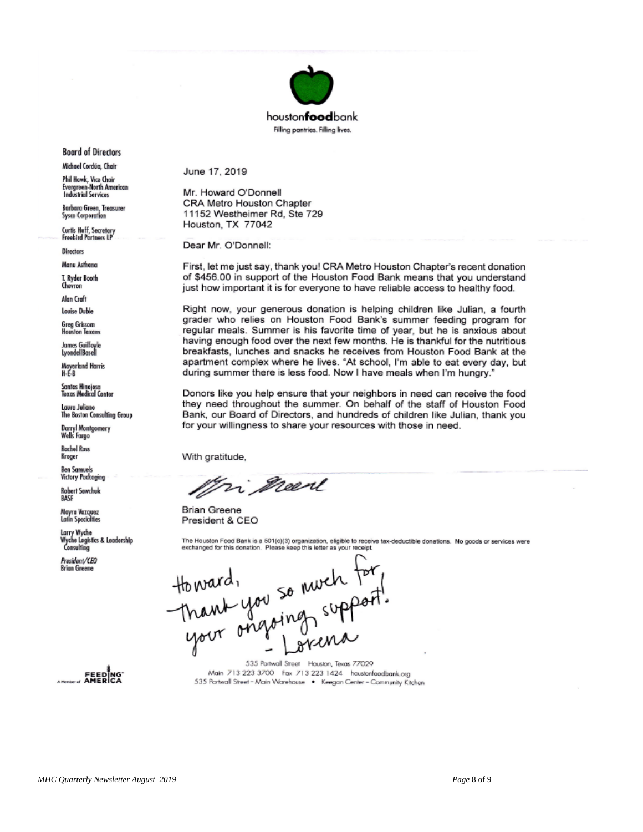

**Board of Directors** 

Michael Cordúa, Chair

Phil Hawk, Vice Chair<br>Evergreen-North American **Industrial Services** 

Barbara Green, Treasurer **Sysco Corporation** 

Curtis Huff, Secretary<br>Freebird Partners LP

**Directors** 

Manu Asthana

T. Ryder Booth Chevron

Alan Craft

Louise Duble Greg Grissom

**Houston Texans** 

James Guilfoyle<br>LyondellBasell

Mayerland Harris<br>H-E-B

Santos Hinojosa<br>Texas Medical Center

Laura Juliano<br>The Boston Consulting Group

Darryl Montgomery<br>Wells Fargo

**Rachel Ross** Kroger

**Ben Samuels Victory Pockaging** 

**Robert Sawchuk** RASE

Mayra Vazquez<br>Latin Specialties

Larry Wyche Wyche Logistics & Leadership Consulting

President/CEO **Brian Greene** 

E EDING<br>FEEDING<br>AMERICA

June 17, 2019

Mr. Howard O'Donnell CRA Metro Houston Chapter 11152 Westheimer Rd, Ste 729 Houston, TX 77042

Dear Mr. O'Donnell:

First, let me just say, thank you! CRA Metro Houston Chapter's recent donation of \$456.00 in support of the Houston Food Bank means that you understand just how important it is for everyone to have reliable access to healthy food.

Right now, your generous donation is helping children like Julian, a fourth grader who relies on Houston Food Bank's summer feeding program for regular meals. Summer is his favorite time of year, but he is anxious about having enough food over the next few months. He is thankful for the nutritious breakfasts, lunches and snacks he receives from Houston Food Bank at the apartment complex where he lives. "At school, I'm able to eat every day, but during summer there is less food. Now I have meals when I'm hungry."

Donors like you help ensure that your neighbors in need can receive the food they need throughout the summer. On behalf of the staff of Houston Food Bank, our Board of Directors, and hundreds of children like Julian, thank you for your willingness to share your resources with those in need.

With gratitude,

Fri neen

**Brian Greene** President & CEO

The Houston Food Bank is a 501(c)(3) organization, eligible to receive tax-deductible donations. No goods or services were<br>exchanged for this donation. Please keep this letter as your receipt.

toward,<br>Thank you so much for,<br>your ongoing support

535 Portwall Street Houston, Texas 77029 Main 713 223 3700 Fax 713 223 1424 houstenfoodbank.org 535 Portwall Street - Main Warehouse . Keegan Center - Community Kitchen